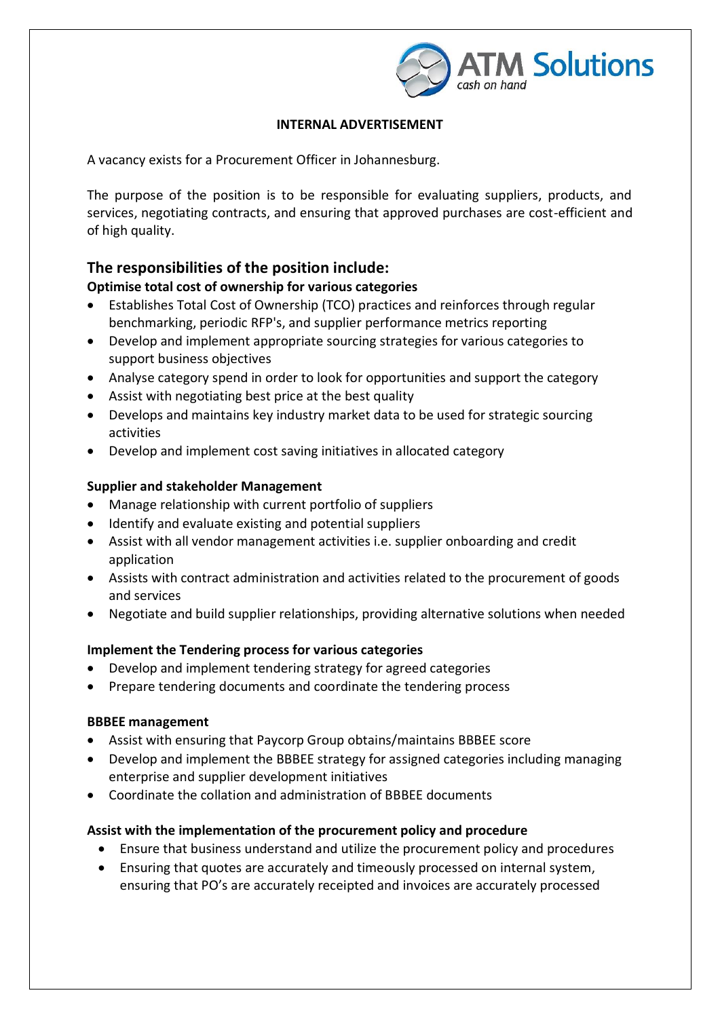

### **INTERNAL ADVERTISEMENT**

A vacancy exists for a Procurement Officer in Johannesburg.

The purpose of the position is to be responsible for evaluating suppliers, products, and services, negotiating contracts, and ensuring that approved purchases are cost-efficient and of high quality.

## **The responsibilities of the position include:**

#### **Optimise total cost of ownership for various categories**

- Establishes Total Cost of Ownership (TCO) practices and reinforces through regular benchmarking, periodic RFP's, and supplier performance metrics reporting
- Develop and implement appropriate sourcing strategies for various categories to support business objectives
- Analyse category spend in order to look for opportunities and support the category
- Assist with negotiating best price at the best quality
- Develops and maintains key industry market data to be used for strategic sourcing activities
- Develop and implement cost saving initiatives in allocated category

#### **Supplier and stakeholder Management**

- Manage relationship with current portfolio of suppliers
- Identify and evaluate existing and potential suppliers
- Assist with all vendor management activities i.e. supplier onboarding and credit application
- Assists with contract administration and activities related to the procurement of goods and services
- Negotiate and build supplier relationships, providing alternative solutions when needed

## **Implement the Tendering process for various categories**

- Develop and implement tendering strategy for agreed categories
- Prepare tendering documents and coordinate the tendering process

#### **BBBEE management**

- Assist with ensuring that Paycorp Group obtains/maintains BBBEE score
- Develop and implement the BBBEE strategy for assigned categories including managing enterprise and supplier development initiatives
- Coordinate the collation and administration of BBBEE documents

## **Assist with the implementation of the procurement policy and procedure**

- Ensure that business understand and utilize the procurement policy and procedures
- Ensuring that quotes are accurately and timeously processed on internal system, ensuring that PO's are accurately receipted and invoices are accurately processed